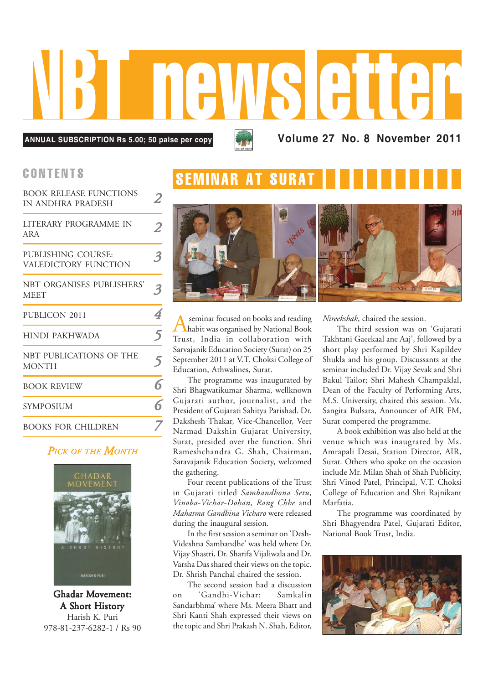

**ANNUAL SUBSCRIPTION Rs 5.00; 50 paise per copy**

**Volume 27 No. 8 November 2011**

| <b>BOOK RELEASE FUNCTIONS</b><br>IN ANDHRA PRADESH |   |
|----------------------------------------------------|---|
| LITERARY PROGRAMME IN<br>ARA                       | 2 |
| PUBLISHING COURSE:<br>VALEDICTORY FUNCTION         | 3 |
| NBT ORGANISES PUBLISHERS'<br><b>MEET</b>           | 3 |
| PUBLICON 2011                                      | 4 |
| HINDI PAKHWADA                                     | 5 |
| NBT PUBLICATIONS OF THE<br><b>MONTH</b>            | 5 |
| <b>BOOK REVIEW</b>                                 | 6 |
| <b>SYMPOSIUM</b>                                   | 6 |
| <b>BOOKS FOR CHILDREN</b>                          |   |

### *PICK OF THE MONTH*



Ghadar Movement: A Short History Harish K. Puri 978-81-237-6282-1 / Rs 90

## CONTENTS SEMINAR AT SUR



A seminar focused on books and reading<br>habit was organised by National Book Trust, India in collaboration with Sarvajanik Education Society (Surat) on 25 September 2011 at V.T. Choksi College of Education, Athwalines, Surat.

The programme was inaugurated by Shri Bhagwatikumar Sharma, wellknown Gujarati author, journalist, and the President of Gujarati Sahitya Parishad. Dr. Dakshesh Thakar, Vice-Chancellor, Veer Narmad Dakshin Gujarat University, Surat, presided over the function. Shri Rameshchandra G. Shah, Chairman, Saravajanik Education Society, welcomed the gathering.

Four recent publications of the Trust in Gujarati titled *Sambandhona Setu, Vinoba-Vichar-Dohan, Rang Chhe* and *Mahatma Gandhina Vicharo* were released during the inaugural session.

In the first session a seminar on 'Desh-Videshna Sambandhe' was held where Dr. Vijay Shastri, Dr. Sharifa Vijaliwala and Dr. Varsha Das shared their views on the topic. Dr. Shrish Panchal chaired the session.

The second session had a discussion on 'Gandhi-Vichar: Samkalin Sandarbhma' where Ms. Meera Bhatt and Shri Kanti Shah expressed their views on the topic and Shri Prakash N. Shah, Editor,

*Nireekshak*, chaired the session.

The third session was on 'Gujarati Takhtani Gaeekaal ane Aaj', followed by a short play performed by Shri Kapildev Shukla and his group. Discussants at the seminar included Dr. Vijay Sevak and Shri Bakul Tailor; Shri Mahesh Champaklal, Dean of the Faculty of Performing Arts, M.S. University, chaired this session. Ms. Sangita Bulsara, Announcer of AIR FM, Surat compered the programme.

A book exhibition was also held at the venue which was inaugrated by Ms. Amrapali Desai, Station Director, AIR, Surat. Others who spoke on the occasion include Mr. Milan Shah of Shah Publicity, Shri Vinod Patel, Principal, V.T. Choksi College of Education and Shri Rajnikant Marfatia.

The programme was coordinated by Shri Bhagyendra Patel, Gujarati Editor, National Book Trust, India.

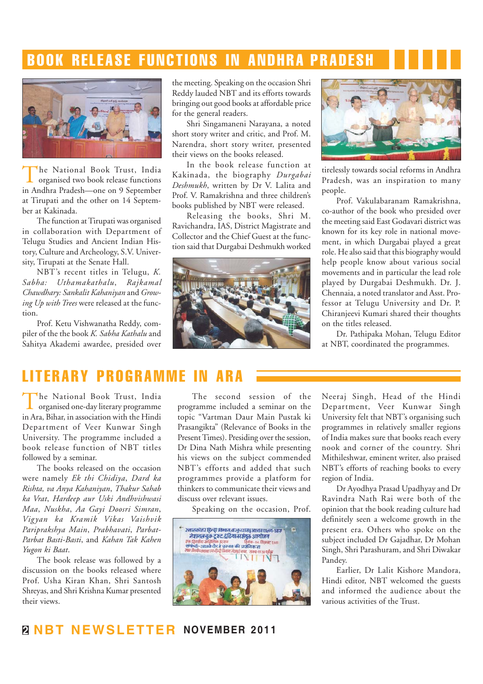## BOOK RELEASE FUNCTIONS IN ANDHRA PRADESH



The National Book Trust, India organised two book release functions in Andhra Pradesh—one on 9 September at Tirupati and the other on 14 September at Kakinada.

The function at Tirupati was organised in collaboration with Department of Telugu Studies and Ancient Indian History, Culture and Archeology, S.V. University, Tirupati at the Senate Hall.

NBT's recent titles in Telugu, *K. Sabha: Uthamakathalu*, *Rajkamal Chawdhary: Sankalit Kahaniyan* and *Growing Up with Trees* were released at the function.

Prof. Ketu Vishwanatha Reddy, compiler of the the book *K. Sabha Kathalu* and Sahitya Akademi awardee, presided over the meeting. Speaking on the occasion Shri Reddy lauded NBT and its efforts towards bringing out good books at affordable price for the general readers.

Shri Singamaneni Narayana, a noted short story writer and critic, and Prof. M. Narendra, short story writer, presented their views on the books released.

In the book release function at Kakinada, the biography *Durgabai Deshmukh*, written by Dr V. Lalita and Prof. V. Ramakrishna and three children's books published by NBT were released.

Releasing the books, Shri M. Ravichandra, IAS, District Magistrate and Collector and the Chief Guest at the function said that Durgabai Deshmukh worked





tirelessly towards social reforms in Andhra Pradesh, was an inspiration to many people.

Prof. Vakulabaranam Ramakrishna, co-author of the book who presided over the meeting said East Godavari district was known for its key role in national movement, in which Durgabai played a great role. He also said that this biography would help people know about various social movements and in particular the lead role played by Durgabai Deshmukh. Dr. J. Chennaia, a noted translator and Asst. Professor at Telugu University and Dr. P. Chiranjeevi Kumari shared their thoughts on the titles released.

Dr. Pathipaka Mohan, Telugu Editor at NBT, coordinated the programmes.

## LITERARY PROGRAMME

The National Book Trust, India<br>organised one-day literary programme in Ara, Bihar, in association with the Hindi Department of Veer Kunwar Singh University. The programme included a book release function of NBT titles followed by a seminar.

The books released on the occasion were namely *Ek thi Chidiya*, *Dard ka Rishta, va Anya Kahaniyan*, *Thakur Sahab ka Vrat*, *Hardeep aur Uski Andhvishwasi Maa*, *Nuskha*, *Aa Gayi Doosri Simran*, *Vigyan ka Kramik Vikas Vaishvik Pariprakshya Main*, *Prabhavati*, *Parbat-Parbat Basti-Basti*, and *Kahan Tak Kahen Yugon ki Baat*.

The book release was followed by a discussion on the books released where Prof. Usha Kiran Khan, Shri Santosh Shreyas, and Shri Krishna Kumar presented their views.

The second session of the programme included a seminar on the topic "Vartman Daur Main Pustak ki Prasangikta" (Relevance of Books in the Present Times). Presiding over the session, Dr Dina Nath Mishra while presenting his views on the subject commended NBT's efforts and added that such programmes provide a platform for thinkers to communicate their views and discuss over relevant issues.

Speaking on the occasion, Prof.



Neeraj Singh, Head of the Hindi Department, Veer Kunwar Singh University felt that NBT's organising such programmes in relatively smaller regions of India makes sure that books reach every nook and corner of the country. Shri Mithileshwar, eminent writer, also praised NBT's efforts of reaching books to every region of India.

Dr Ayodhya Prasad Upadhyay and Dr Ravindra Nath Rai were both of the opinion that the book reading culture had definitely seen a welcome growth in the present era. Others who spoke on the subject included Dr Gajadhar, Dr Mohan Singh, Shri Parashuram, and Shri Diwakar Pandey.

Earlier, Dr Lalit Kishore Mandora, Hindi editor, NBT welcomed the guests and informed the audience about the various activities of the Trust.

### **2 NBT NEWSLETTER NOVEMBER 2011**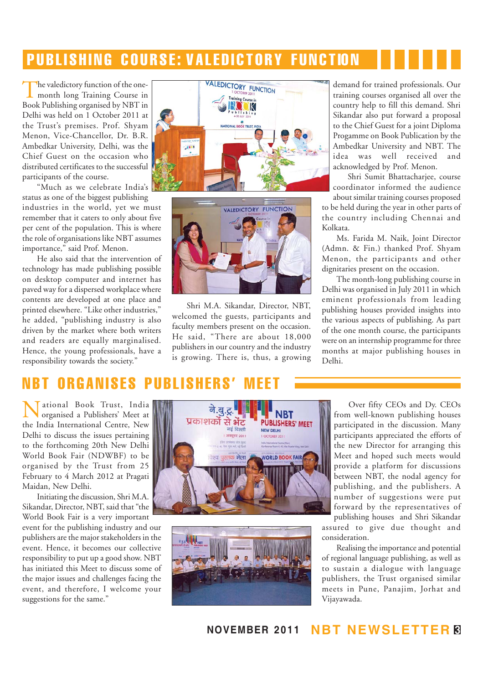## PUBLISHING COURSE: VALEDICTORY FUNCTION

The valedictory function of the one-<br>month long Training Course in Book Publishing organised by NBT in Delhi was held on 1 October 2011 at the Trust's premises. Prof. Shyam Menon, Vice-Chancellor, Dr. B.R. Ambedkar University, Delhi, was the Chief Guest on the occasion who distributed certificates to the successful participants of the course.

"Much as we celebrate India's status as one of the biggest publishing

industries in the world, yet we must remember that it caters to only about five per cent of the population. This is where the role of organisations like NBT assumes importance," said Prof. Menon.

He also said that the intervention of technology has made publishing possible on desktop computer and internet has paved way for a dispersed workplace where contents are developed at one place and printed elsewhere. "Like other industries," he added, "publishing industry is also driven by the market where both writers and readers are equally marginalised. Hence, the young professionals, have a responsibility towards the society."





Shri M.A. Sikandar, Director, NBT, welcomed the guests, participants and faculty members present on the occasion. He said, "There are about 18,000 publishers in our country and the industry is growing. There is, thus, a growing demand for trained professionals. Our training courses organised all over the country help to fill this demand. Shri Sikandar also put forward a proposal to the Chief Guest for a joint Diploma Progamme on Book Publication by the Ambedkar University and NBT. The<br>idea was well received and was well received and acknowledged by Prof. Menon.

Shri Sumit Bhattacharjee, course coordinator informed the audience about similar training courses proposed

to be held during the year in other parts of the country including Chennai and Kolkata.

Ms. Farida M. Naik, Joint Director (Admn. & Fin.) thanked Prof. Shyam Menon, the participants and other dignitaries present on the occasion.

The month-long publishing course in Delhi was organised in July 2011 in which eminent professionals from leading publishing houses provided insights into the various aspects of publishing. As part of the one month course, the participants were on an internship programme for three months at major publishing houses in Delhi.

## NBRGANISES

National Book Trust, India organised a Publishers' Meet at the India International Centre, New Delhi to discuss the issues pertaining to the forthcoming 20th New Delhi World Book Fair (NDWBF) to be organised by the Trust from 25 February to 4 March 2012 at Pragati Maidan, New Delhi.

Initiating the discussion, Shri M.A. Sikandar, Director, NBT, said that "the World Book Fair is a very important event for the publishing industry and our publishers are the major stakeholders in the event. Hence, it becomes our collective responsibility to put up a good show. NBT has initiated this Meet to discuss some of the major issues and challenges facing the event, and therefore, I welcome your suggestions for the same."





Over fifty CEOs and Dy. CEOs from well-known publishing houses participated in the discussion. Many participants appreciated the efforts of the new Director for arranging this Meet and hoped such meets would provide a platform for discussions between NBT, the nodal agency for publishing, and the publishers. A number of suggestions were put forward by the representatives of publishing houses and Shri Sikandar

assured to give due thought and consideration.

Realising the importance and potential of regional language publishing, as well as to sustain a dialogue with language publishers, the Trust organised similar meets in Pune, Panajim, Jorhat and Vijayawada.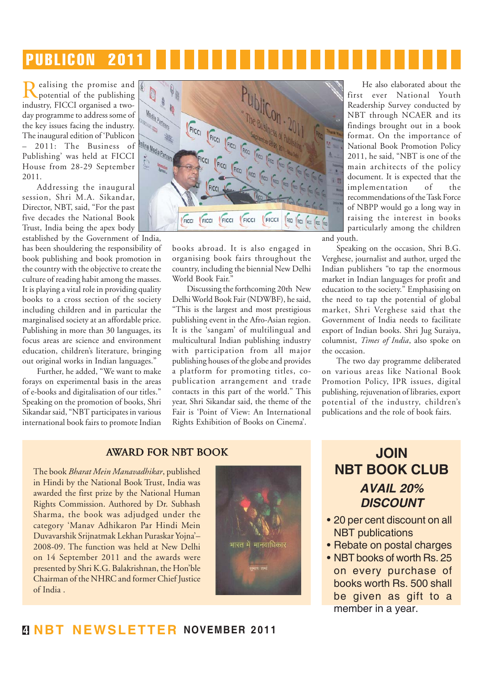## PUBLICON 2011

Realising the promise and potential of the publishing industry, FICCI organised a twoday programme to address some of the key issues facing the industry. The inaugural edition of 'Publicon – 2011: The Business of Publishing' was held at FICCI House from 28-29 September 2011.

Addressing the inaugural session, Shri M.A. Sikandar, Director, NBT, said, "For the past five decades the National Book Trust, India being the apex body

established by the Government of India, has been shouldering the responsibility of book publishing and book promotion in the country with the objective to create the culture of reading habit among the masses. It is playing a vital role in providing quality books to a cross section of the society including children and in particular the marginalised society at an affordable price. Publishing in more than 30 languages, its focus areas are science and environment education, children's literature, bringing out original works in Indian languages."

Further, he added, "We want to make forays on experimental basis in the areas of e-books and digitalisation of our titles." Speaking on the promotion of books, Shri Sikandar said, "NBT participates in various international book fairs to promote Indian



books abroad. It is also engaged in organising book fairs throughout the country, including the biennial New Delhi World Book Fair.'

Discussing the forthcoming 20th New Delhi World Book Fair (NDWBF), he said, "This is the largest and most prestigious publishing event in the Afro-Asian region. It is the 'sangam' of multilingual and multicultural Indian publishing industry with participation from all major publishing houses of the globe and provides a platform for promoting titles, copublication arrangement and trade contacts in this part of the world." This year, Shri Sikandar said, the theme of the Fair is 'Point of View: An International Rights Exhibition of Books on Cinema'.

He also elaborated about the first ever National Youth Readership Survey conducted by NBT through NCAER and its findings brought out in a book format. On the importance of National Book Promotion Policy 2011, he said, "NBT is one of the main architects of the policy document. It is expected that the implementation of the recommendations of the Task Force of NBPP would go a long way in raising the interest in books particularly among the children and youth.

Speaking on the occasion, Shri B.G. Verghese, journalist and author, urged the Indian publishers "to tap the enormous market in Indian languages for profit and education to the society." Emphasising on the need to tap the potential of global market, Shri Verghese said that the Government of India needs to facilitate export of Indian books. Shri Jug Suraiya, columnist, *Times of India*, also spoke on the occasion.

The two day programme deliberated on various areas like National Book Promotion Policy, IPR issues, digital publishing, rejuvenation of libraries, export potential of the industry, children's publications and the role of book fairs.

#### AWARD FOR NBT BOOK

The book *Bharat Mein Manavadhikar*, published in Hindi by the National Book Trust, India was awarded the first prize by the National Human Rights Commission. Authored by Dr. Subhash Sharma, the book was adjudged under the category 'Manav Adhikaron Par Hindi Mein Duvavarshik Srijnatmak Lekhan Puraskar Yojna'– 2008-09. The function was held at New Delhi on 14 September 2011 and the awards were presented by Shri K.G. Balakrishnan, the Hon'ble Chairman of the NHRC and former Chief Justice of India .



## **JOIN NBT BOOK CLUB** *AVAIL 20% DISCOUNT*

- 20 per cent discount on all NBT publications
- Rebate on postal charges
- NBT books of worth Rs. 25 on every purchase of books worth Rs. 500 shall be given as gift to a member in a year.

### **4 NBT NEWSLETTER NOVEMBER 2011**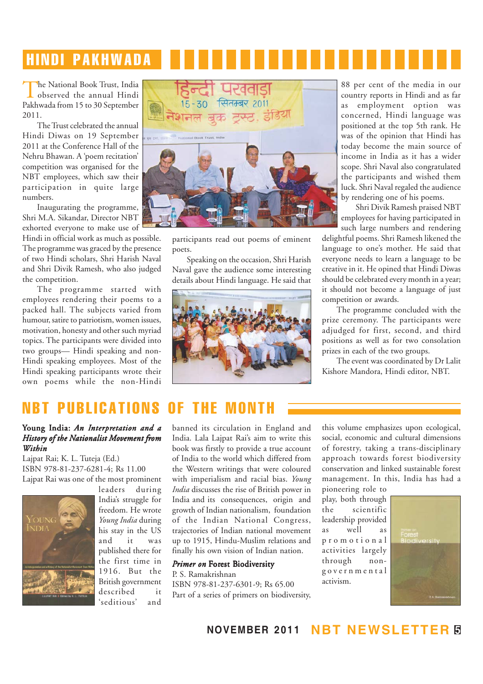## HINDI PAKHWADA

The National Book Trust, India<br>observed the annual Hindi Pakhwada from 15 to 30 September 2011.

The Trust celebrated the annual Hindi Diwas on 19 September 2011 at the Conference Hall of the Nehru Bhawan. A 'poem recitation' competition was organised for the NBT employees, which saw their participation in quite large numbers.

Inaugurating the programme, Shri M.A. Sikandar, Director NBT exhorted everyone to make use of

Hindi in official work as much as possible. The programme was graced by the presence of two Hindi scholars, Shri Harish Naval and Shri Divik Ramesh, who also judged the competition.

The programme started with employees rendering their poems to a packed hall. The subjects varied from humour, satire to patriotism, women issues, motivation, honesty and other such myriad topics. The participants were divided into two groups— Hindi speaking and non-Hindi speaking employees. Most of the Hindi speaking participants wrote their own poems while the non-Hindi



participants read out poems of eminent poets.

Speaking on the occasion, Shri Harish Naval gave the audience some interesting details about Hindi language. He said that



88 per cent of the media in our country reports in Hindi and as far as employment option was concerned, Hindi language was positioned at the top 5th rank. He was of the opinion that Hindi has today become the main source of income in India as it has a wider scope. Shri Naval also congratulated the participants and wished them luck. Shri Naval regaled the audience by rendering one of his poems.

Shri Divik Ramesh praised NBT employees for having participated in

such large numbers and rendering delightful poems. Shri Ramesh likened the language to one's mother. He said that everyone needs to learn a language to be creative in it. He opined that Hindi Diwas should be celebrated every month in a year; it should not become a language of just competition or awards.

The programme concluded with the prize ceremony. The participants were adjudged for first, second, and third positions as well as for two consolation prizes in each of the two groups.

The event was coordinated by Dr Lalit Kishore Mandora, Hindi editor, NBT.

## PUBLICATIONS OF THE

#### Young India: *An Interpretation and a History of the Nationalist Movement from Within*

Lajpat Rai; K. L. Tuteja (Ed.) ISBN 978-81-237-6281-4; Rs 11.00 Lajpat Rai was one of the most prominent



leaders during India's struggle for freedom. He wrote *Young India* during his stay in the US and it was published there for the first time in 1916. But the British government described it 'seditious' and

banned its circulation in England and India. Lala Lajpat Rai's aim to write this book was firstly to provide a true account of India to the world which differed from the Western writings that were coloured with imperialism and racial bias. *Young India* discusses the rise of British power in India and its consequences, origin and growth of Indian nationalism, foundation of the Indian National Congress, trajectories of Indian national movement up to 1915, Hindu-Muslim relations and finally his own vision of Indian nation.

#### *Primer on Forest Biodiversity*

P. S. Ramakrishnan ISBN 978-81-237-6301-9; Rs 65.00 Part of a series of primers on biodiversity, this volume emphasizes upon ecological, social, economic and cultural dimensions of forestry, taking a trans-disciplinary approach towards forest biodiversity conservation and linked sustainable forest management. In this, India has had a

pioneering role to play, both through the scientific leadership provided as well as promotional activities largely through nongovernmental activism.



**NOVEMBER 2011 NBT NEWSLETTER 5**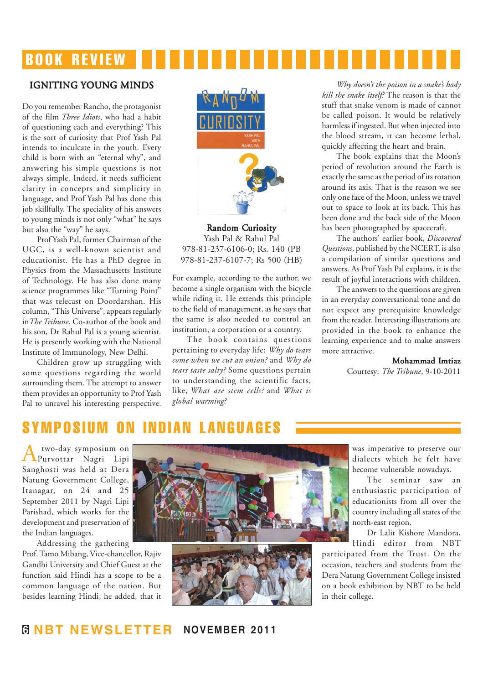## BOOK REVIEW

#### IGNITING IGNITING YOUNG MINDS

Do you remember Rancho, the protagonist of the film *Three Idiots*, who had a habit of questioning each and everything? This is the sort of curiosity that Prof Yash Pal intends to inculcate in the youth. Every child is born with an "eternal why", and answering his simple questions is not always simple. Indeed, it needs sufficient clarity in concepts and simplicity in language, and Prof Yash Pal has done this job skillfully. The speciality of his answers to young minds is not only "what" he says but also the "way" he says.

Prof Yash Pal, former Chairman of the UGC, is a well-known scientist and educationist. He has a PhD degree in Physics from the Massachusetts Institute of Technology. He has also done many science programmes like "Turning Point" that was telecast on Doordarshan. His column, "This Universe", appears regularly in*The Tribune*. Co-author of the book and his son, Dr Rahul Pal is a young scientist. He is presently working with the National Institute of Immunology, New Delhi.

Children grow up struggling with some questions regarding the world surrounding them. The attempt to answer them provides an opportunity to Prof Yash Pal to unravel his interesting perspective.



Random Curiosity Yash Pal & Rahul Pal 978-81-237-6106-0; Rs. 140 (PB 978-81-237-6107-7; Rs 500 (HB)

For example, according to the author, we become a single organism with the bicycle while riding it. He extends this principle to the field of management, as he says that the same is also needed to control an institution, a corporation or a country.

The book contains questions pertaining to everyday life: *Why do tears come when we cut an onion?* and *Why do tears taste salty?* Some questions pertain to understanding the scientific facts, like, *What are stem cells?* and *What is global warming?*

*Why doesn't the poison in a snake's body kill the snake itself?* The reason is that the stuff that snake venom is made of cannot be called poison. It would be relatively harmless if ingested. But when injected into the blood stream, it can become lethal, quickly affecting the heart and brain.

The book explains that the Moon's period of revolution around the Earth is exactly the same as the period of its rotation around its axis. That is the reason we see only one face of the Moon, unless we travel out to space to look at its back. This has been done and the back side of the Moon has been photographed by spacecraft.

The authors' earlier book, *Discovered Questions*, published by the NCERT, is also a compilation of similar questions and answers. As Prof Yash Pal explains, it is the result of joyful interactions with children.

The answers to the questions are given in an everyday conversational tone and do not expect any prerequisite knowledge from the reader. Interesting illustrations are provided in the book to enhance the learning experience and to make answers more attractive.

Mohammad Imtiaz

Courtesy: *The Tribune*, 9-10-2011

## SYMPOSIUM

A two-day symposium on Purvottar Nagri Lipi Sanghosti was held at Dera Natung Government College, Itanagar, on 24 and 25 September 2011 by Nagri Lipi Parishad, which works for the development and preservation of the Indian languages.

Addressing the gathering Prof. Tamo Mibang, Vice-chancellor, Rajiv Gandhi University and Chief Guest at the function said Hindi has a scope to be a common language of the nation. But besides learning Hindi, he added, that it



was imperative to preserve our dialects which he felt have become vulnerable nowadays.

The seminar saw an enthusiastic participation of educationists from all over the country including all states of the north-east region.

Dr Lalit Kishore Mandora, Hindi editor from NBT

participated from the Trust. On the occasion, teachers and students from the Dera Natung Government College insisted on a book exhibition by NBT to be held in their college.

### **6 NBT NEWSLETTER NOVEMBER 2011**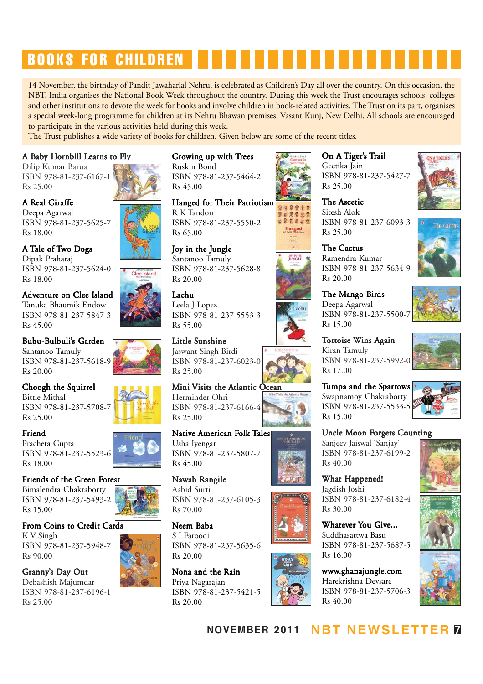# BOOKS FOR CHILDREN

14 November, the birthday of Pandit Jawaharlal Nehru, is celebrated as Children's Day all over the country. On this occasion, the NBT, India organises the National Book Week throughout the country. During this week the Trust encourages schools, colleges and other institutions to devote the week for books and involve children in book-related activities. The Trust on its part, organises a special week-long programme for children at its Nehru Bhawan premises, Vasant Kunj, New Delhi. All schools are encouraged to participate in the various activities held during this week.

The Trust publishes a wide variety of books for children. Given below are some of the recent titles.

#### A Baby Hornbill Learns to Fly

Dilip Kumar Barua ISBN 978-81-237-6167-1 Rs 25.00

A Real Giraffe Deepa Agarwal ISBN 978-81-237-5625-7 Rs 18.00

A Tale of Two Dogs Dipak Praharaj ISBN 978-81-237-5624-0 Rs 18.00

Adventure on Clee Island Tanuka Bhaumik Endow ISBN 978-81-237-5847-3 Rs 45.00

Bubu-Bulbuli's Garden Santanoo Tamuly ISBN 978-81-237-5618-9 Rs 20.00

Choogh the Squirrel

Bittie Mithal ISBN 978-81-237-5708-7 Rs 25.00

#### Friend

Pracheta Gupta ISBN 978-81-237-5523-6 Rs 18.00

## Friends of the Green Forest

Bimalendra Chakraborty ISBN 978-81-237-5493-2 Rs 15.00

From Coins to Credit Cards

K V Singh ISBN 978-81-237-5948-7 Rs 90.00

Granny's Day Out Debashish Majumdar ISBN 978-81-237-6196-1 Rs 25.00

#### Growing up with Trees Ruskin Bond

ISBN 978-81-237-5464-2 Rs 45.00

Hanged for Their Patriotism R K Tandon ISBN 978-81-237-5550-2 Rs 65.00

Joy in the Jungle Santanoo Tamuly ISBN 978-81-237-5628-8 Rs 20.00

Lachu Leela J Lopez ISBN 978-81-237-5553-3 Rs 55.00

Little Sunshine Jaswant Singh Birdi ISBN 978-81-237-6023-0 Rs 25.00

Mini Visits the Atlantic Ocean Herminder Ohri ISBN 978-81-237-6166-4 Rs 25.00

Native American Folk Tales Usha Iyengar ISBN 978-81-237-5807-7 Rs 45.00

Nawab Rangile Aabid Surti ISBN 978-81-237-6105-3 Rs 70.00

Neem Baba S I Farooqi ISBN 978-81-237-5635-6 Rs 20.00

Nona and the Rain Priya Nagarajan ISBN 978-81-237-5421-5 Rs 20.00



29 % 9 20894

Hanged

On A Tiger's Trail Geetika Jain ISBN 978-81-237-5427-7 Rs 25.00

The Ascetic Sitesh Alok ISBN 978-81-237-6093-3 Rs 25.00



The Mango Birds Deepa Agarwal ISBN 978-81-237-5500-7 Rs 15.00

Tortoise Wins Again Kiran Tamuly ISBN 978-81-237-5992-0 Rs 17.00

Tumpa and the Sparrows Swapnamoy Chakraborty ISBN 978-81-237-5533-5 Rs 15.00

Uncle Moon Forgets Counting Sanjeev Jaiswal 'Sanjay' ISBN 978-81-237-6199-2 Rs 40.00

What Happened! Jagdish Joshi ISBN 978-81-237-6182-4 Rs 30.00

Whatever You Give... Suddhasattwa Basu ISBN 978-81-237-5687-5 Rs 16.00

www.ghanajungle.com Harekrishna Devsare ISBN 978-81-237-5706-3 Rs 40.00



The Cactus